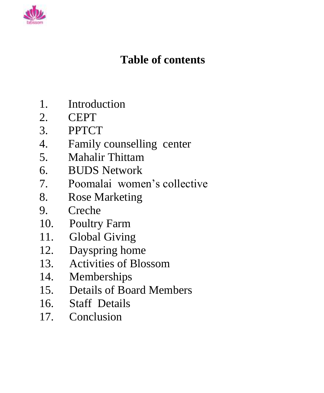

## **Table of contents**

- 1. Introduction
- 2. CEPT
- 3. PPTCT
- 4. Family counselling center
- 5. Mahalir Thittam
- 6. BUDS Network
- 7. Poomalai women's collective
- 8. Rose Marketing
- 9. Creche
- 10. Poultry Farm
- 11. Global Giving
- 12. Dayspring home
- 13. Activities of Blossom
- 14. Memberships
- 15. Details of Board Members
- 16. Staff Details
- 17. Conclusion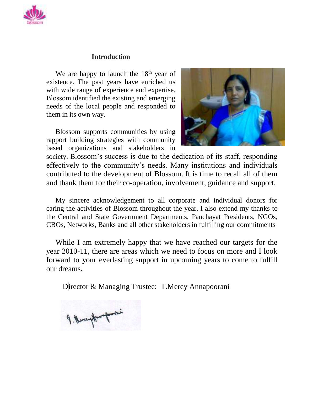

#### **Introduction**

We are happy to launch the  $18<sup>th</sup>$  year of existence. The past years have enriched us with wide range of experience and expertise. Blossom identified the existing and emerging needs of the local people and responded to them in its own way.

Blossom supports communities by using rapport building strategies with community based organizations and stakeholders in



society. Blossom's success is due to the dedication of its staff, responding effectively to the community's needs. Many institutions and individuals contributed to the development of Blossom. It is time to recall all of them and thank them for their co-operation, involvement, guidance and support.

My sincere acknowledgement to all corporate and individual donors for caring the activities of Blossom throughout the year. I also extend my thanks to the Central and State Government Departments, Panchayat Presidents, NGOs, CBOs, Networks, Banks and all other stakeholders in fulfilling our commitments

While I am extremely happy that we have reached our targets for the year 2010-11, there are areas which we need to focus on more and I look forward to your everlasting support in upcoming years to come to fulfill our dreams.

Director & Managing Trustee: T.Mercy Annapoorani

9. Nevergthung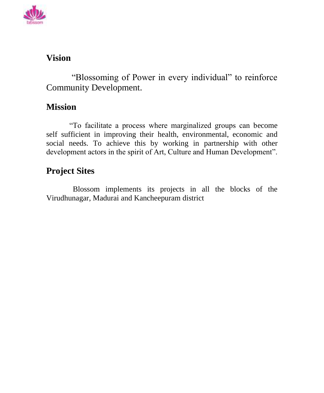

### **Vision**

"Blossoming of Power in every individual" to reinforce Community Development.

### **Mission**

"To facilitate a process where marginalized groups can become self sufficient in improving their health, environmental, economic and social needs. To achieve this by working in partnership with other development actors in the spirit of Art, Culture and Human Development".

### **Project Sites**

 Blossom implements its projects in all the blocks of the Virudhunagar, Madurai and Kancheepuram district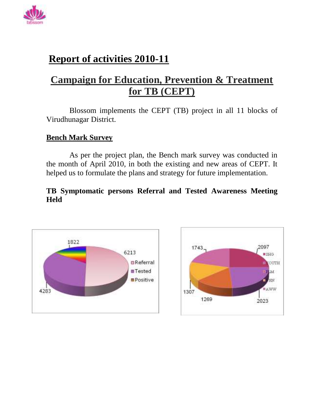

### **Report of activities 2010-11**

### **Campaign for Education, Prevention & Treatment for TB (CEPT)**

Blossom implements the CEPT (TB) project in all 11 blocks of Virudhunagar District.

#### **Bench Mark Survey**

As per the project plan, the Bench mark survey was conducted in the month of April 2010, in both the existing and new areas of CEPT. It helped us to formulate the plans and strategy for future implementation.

#### **TB Symptomatic persons Referral and Tested Awareness Meeting Held**



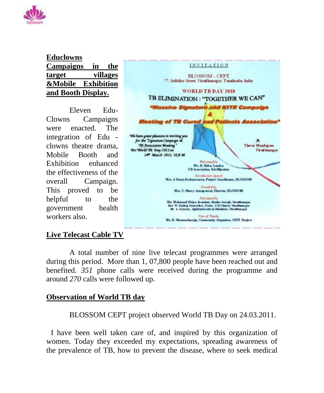

#### **Educlowns Campaigns in the target villages &Mobile Exhibition and Booth Display.**

Eleven Edu-Clowns Campaigns were enacted. The integration of Edu clowns theatre drama, Mobile Booth and Exhibition enhanced the effectiveness of the overall Campaign. This proved to be helpful to the government health workers also.



#### **Live Telecast Cable TV**

 A total number of nine live telecast programmes were arranged during this period. More than 1, 07,800 people have been reached out and benefited. *351* phone calls were received during the programme and around *270* calls were followed up.

#### **Observation of World TB day**

BLOSSOM CEPT project observed World TB Day on 24.03.2011.

I have been well taken care of, and inspired by this organization of women. Today they exceeded my expectations, spreading awareness of the prevalence of TB, how to prevent the disease, where to seek medical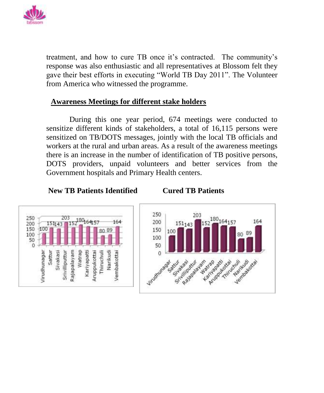

treatment, and how to cure TB once it's contracted. The community's response was also enthusiastic and all representatives at Blossom felt they gave their best efforts in executing "World TB Day 2011". The Volunteer from America who witnessed the programme.

#### **Awareness Meetings for different stake holders**

During this one year period, 674 meetings were conducted to sensitize different kinds of stakeholders, a total of 16,115 persons were sensitized on TB/DOTS messages, jointly with the local TB officials and workers at the rural and urban areas. As a result of the awareness meetings there is an increase in the number of identification of TB positive persons, DOTS providers, unpaid volunteers and better services from the Government hospitals and Primary Health centers.

**New TB Patients Identified Cured TB Patients**



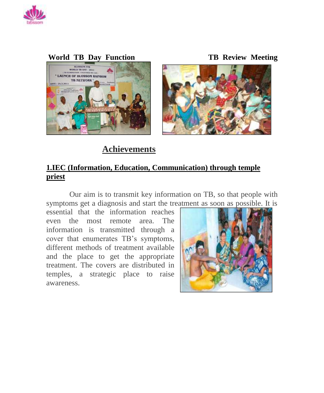

#### **World TB Day Function TB Review Meeting**



 **Achievements**

#### **1.IEC (Information, Education, Communication) through temple priest**

Our aim is to transmit key information on TB, so that people with symptoms get a diagnosis and start the treatment as soon as possible. It is

essential that the information reaches even the most remote area. The information is transmitted through a cover that enumerates TB's symptoms, different methods of treatment available and the place to get the appropriate treatment. The covers are distributed in temples, a strategic place to raise awareness.

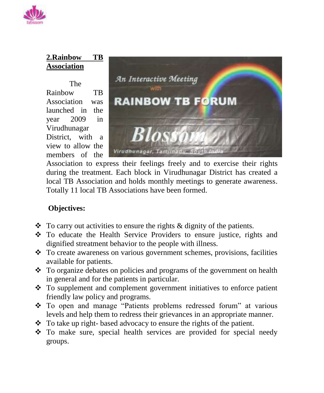

### **2.Rainbow TB Association**

The Rainbow TB Association was launched in the year 2009 in Virudhunagar District, with a view to allow the members of the



Association to express their feelings freely and to exercise their rights during the treatment. Each block in Virudhunagar District has created a local TB Association and holds monthly meetings to generate awareness. Totally 11 local TB Associations have been formed.

### **Objectives:**

- $\bullet$  To carry out activities to ensure the rights & dignity of the patients.
- \* To educate the Health Service Providers to ensure justice, rights and dignified streatment behavior to the people with illness.
- $\div$  To create awareness on various government schemes, provisions, facilities available for patients.
- \* To organize debates on policies and programs of the government on health in general and for the patients in particular.
- To supplement and complement government initiatives to enforce patient friendly law policy and programs.
- To open and manage "Patients problems redressed forum" at various levels and help them to redress their grievances in an appropriate manner.
- To take up right-based advocacy to ensure the rights of the patient.
- To make sure, special health services are provided for special needy groups.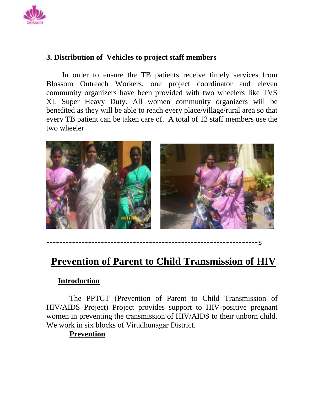

#### **3. Distribution of Vehicles to project staff members**

In order to ensure the TB patients receive timely services from Blossom Outreach Workers, one project coordinator and eleven community organizers have been provided with two wheelers like TVS XL Super Heavy Duty. All women community organizers will be benefited as they will be able to reach every place/village/rural area so that every TB patient can be taken care of. A total of 12 staff members use the two wheeler



------------------------------------------------------------------s

### **Prevention of Parent to Child Transmission of HIV**

#### **Introduction**

The PPTCT (Prevention of Parent to Child Transmission of HIV/AIDS Project) Project provides support to HIV-positive pregnant women in preventing the transmission of HIV/AIDS to their unborn child. We work in six blocks of Virudhunagar District.

### **Prevention**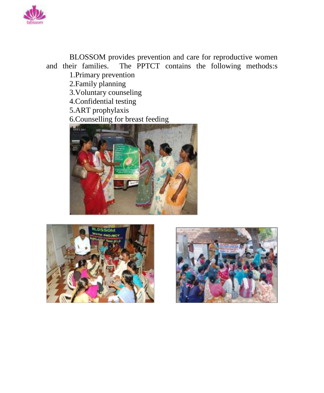

BLOSSOM provides prevention and care for reproductive women and their families. The PPTCT contains the following methods:s 1.Primary prevention 2.Family planning 3.Voluntary counseling 4.Confidential testing 5.ART prophylaxis 6.Counselling for breast feeding **Alliance** 





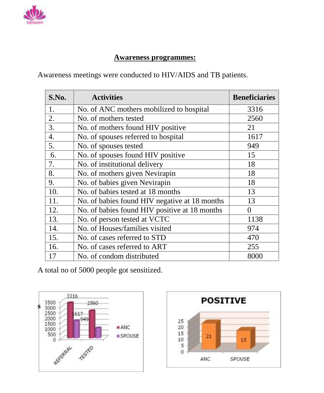

#### **Awareness programmes:**

Awareness meetings were conducted to HIV/AIDS and TB patients.

| S.No.            | <b>Activities</b>                             | <b>Beneficiaries</b> |
|------------------|-----------------------------------------------|----------------------|
| 1.               | No. of ANC mothers mobilized to hospital      | 3316                 |
| 2.               | No. of mothers tested                         | 2560                 |
| 3.               | No. of mothers found HIV positive             | 21                   |
| $\overline{4}$ . | No. of spouses referred to hospital           | 1617                 |
| 5.               | No. of spouses tested                         | 949                  |
| 6.               | No. of spouses found HIV positive             | 15                   |
| 7.               | No. of institutional delivery                 | 18                   |
| 8.               | No. of mothers given Nevirapin                | 18                   |
| 9.               | No. of babies given Nevirapin                 | 18                   |
| 10.              | No. of babies tested at 18 months             | 13                   |
| 11.              | No. of babies found HIV negative at 18 months | 13                   |
| 12.              | No. of babies found HIV positive at 18 months | $\theta$             |
| 13.              | No. of person tested at VCTC                  | 1138                 |
| 14.              | No. of Houses/families visited                | 974                  |
| 15.              | No. of cases referred to STD                  | 470                  |
| 16.              | No. of cases referred to ART                  | 255                  |
| 17               | No. of condom distributed                     | 8000                 |

A total no of 5000 people got sensitized.



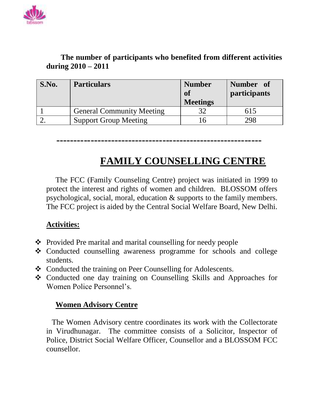

#### **The number of participants who benefited from different activities during 2010 – 2011**

| S.No. | <b>Particulars</b>               | <b>Number</b><br>of<br><b>Meetings</b> | Number of<br>participants |
|-------|----------------------------------|----------------------------------------|---------------------------|
|       | <b>General Community Meeting</b> |                                        | 615                       |
|       | <b>Support Group Meeting</b>     |                                        | 298                       |

### **------------------------------------------------------------**

### **FAMILY COUNSELLING CENTRE**

The FCC (Family Counseling Centre) project was initiated in 1999 to protect the interest and rights of women and children. BLOSSOM offers psychological, social, moral, education & supports to the family members. The FCC project is aided by the Central Social Welfare Board, New Delhi.

#### **Activities:**

- ❖ Provided Pre marital and marital counselling for needy people
- Conducted counselling awareness programme for schools and college students.
- Conducted the training on Peer Counselling for Adolescents.
- Conducted one day training on Counselling Skills and Approaches for Women Police Personnel's.

#### **Women Advisory Centre**

The Women Advisory centre coordinates its work with the Collectorate in Virudhunagar. The committee consists of a Solicitor, Inspector of Police, District Social Welfare Officer, Counsellor and a BLOSSOM FCC counsellor.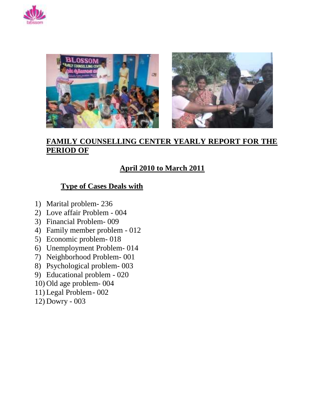



#### **FAMILY COUNSELLING CENTER YEARLY REPORT FOR THE PERIOD OF**

#### **April 2010 to March 2011**

#### **Type of Cases Deals with**

- 1) Marital problem- 236
- 2) Love affair Problem 004
- 3) Financial Problem- 009
- 4) Family member problem 012
- 5) Economic problem- 018
- 6) Unemployment Problem- 014
- 7) Neighborhood Problem- 001
- 8) Psychological problem- 003
- 9) Educational problem 020
- 10) Old age problem- 004
- 11) Legal Problem- 002
- 12) Dowry 003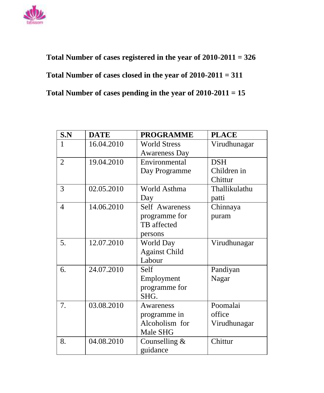

 **Total Number of cases registered in the year of 2010-2011 = 326 Total Number of cases closed in the year of 2010-2011 = 311 Total Number of cases pending in the year of 2010-2011 = 15**

| S.N            | <b>DATE</b> | <b>PROGRAMME</b>     | <b>PLACE</b>  |
|----------------|-------------|----------------------|---------------|
| 1              | 16.04.2010  | <b>World Stress</b>  | Virudhunagar  |
|                |             | <b>Awareness Day</b> |               |
| $\overline{2}$ | 19.04.2010  | Environmental        | <b>DSH</b>    |
|                |             | Day Programme        | Children in   |
|                |             |                      | Chittur       |
| 3              | 02.05.2010  | World Asthma         | Thallikulathu |
|                |             | Day                  | patti         |
| 4              | 14.06.2010  | Self Awareness       | Chinnaya      |
|                |             | programme for        | puram         |
|                |             | TB affected          |               |
|                |             | persons              |               |
| 5.             | 12.07.2010  | World Day            | Virudhunagar  |
|                |             | <b>Against Child</b> |               |
|                |             | Labour               |               |
| 6.             | 24.07.2010  | Self                 | Pandiyan      |
|                |             | Employment           | Nagar         |
|                |             | programme for        |               |
|                |             | SHG.                 |               |
| 7.             | 03.08.2010  | <b>Awareness</b>     | Poomalai      |
|                |             | programme in         | office        |
|                |             | Alcoholism for       | Virudhunagar  |
|                |             | Male SHG             |               |
| 8.             | 04.08.2010  | Counselling $&$      | Chittur       |
|                |             | guidance             |               |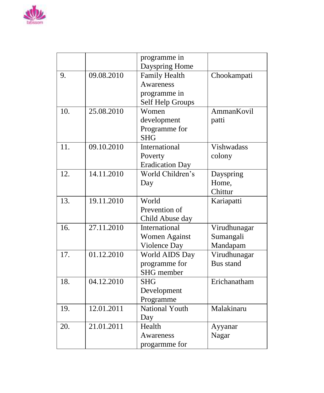

|     |            | programme in           |                   |
|-----|------------|------------------------|-------------------|
|     |            | Dayspring Home         |                   |
| 9.  | 09.08.2010 | <b>Family Health</b>   | Chookampati       |
|     |            | <b>Awareness</b>       |                   |
|     |            | programme in           |                   |
|     |            | Self Help Groups       |                   |
| 10. | 25.08.2010 | Women                  | <b>AmmanKovil</b> |
|     |            | development            | patti             |
|     |            | Programme for          |                   |
|     |            | <b>SHG</b>             |                   |
| 11. | 09.10.2010 | International          | <b>Vishwadass</b> |
|     |            | Poverty                | colony            |
|     |            | <b>Eradication Day</b> |                   |
| 12. | 14.11.2010 | World Children's       | Dayspring         |
|     |            | Day                    | Home,             |
|     |            |                        | Chittur           |
| 13. | 19.11.2010 | World                  | Kariapatti        |
|     |            | Prevention of          |                   |
|     |            | Child Abuse day        |                   |
| 16. | 27.11.2010 | International          | Virudhunagar      |
|     |            | <b>Women Against</b>   | Sumangali         |
|     |            | Violence Day           | Mandapam          |
| 17. | 01.12.2010 | World AIDS Day         | Virudhunagar      |
|     |            | programme for          | <b>Bus stand</b>  |
|     |            | <b>SHG</b> member      |                   |
| 18. | 04.12.2010 | <b>SHG</b>             | Erichanatham      |
|     |            | Development            |                   |
|     |            | Programme              |                   |
| 19. | 12.01.2011 | <b>National Youth</b>  | Malakinaru        |
|     |            | Day                    |                   |
| 20. | 21.01.2011 | Health                 | Ayyanar           |
|     |            | <b>Awareness</b>       | Nagar             |
|     |            | progarmme for          |                   |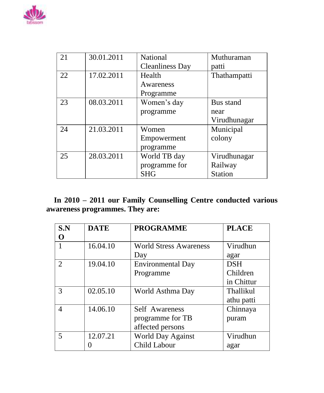

| 21 | 30.01.2011 | <b>National</b>        | Muthuraman     |
|----|------------|------------------------|----------------|
|    |            | <b>Cleanliness Day</b> | patti          |
| 22 | 17.02.2011 | Health                 | Thathampatti   |
|    |            | Awareness              |                |
|    |            | Programme              |                |
| 23 | 08.03.2011 | Women's day            | Bus stand      |
|    |            | programme              | near           |
|    |            |                        | Virudhunagar   |
| 24 | 21.03.2011 | Women                  | Municipal      |
|    |            | Empowerment            | colony         |
|    |            | programme              |                |
| 25 | 28.03.2011 | World TB day           | Virudhunagar   |
|    |            | programme for          | Railway        |
|    |            | <b>SHG</b>             | <b>Station</b> |

 **In 2010 – 2011 our Family Counselling Centre conducted various awareness programmes. They are:**

| S.N                         | <b>DATE</b> | <b>PROGRAMME</b>              | <b>PLACE</b> |
|-----------------------------|-------------|-------------------------------|--------------|
| O                           |             |                               |              |
|                             | 16.04.10    | <b>World Stress Awareness</b> | Virudhun     |
|                             |             | Day                           | agar         |
| $\mathcal{D}_{\mathcal{L}}$ | 19.04.10    | <b>Environmental Day</b>      | <b>DSH</b>   |
|                             |             | Programme                     | Children     |
|                             |             |                               | in Chittur   |
| 3                           | 02.05.10    | World Asthma Day              | Thallikul    |
|                             |             |                               | athu patti   |
| 4                           | 14.06.10    | <b>Self</b> Awareness         | Chinnaya     |
|                             |             | programme for TB              | puram        |
|                             |             | affected persons              |              |
| 5                           | 12.07.21    | <b>World Day Against</b>      | Virudhun     |
|                             |             | Child Labour                  | agar         |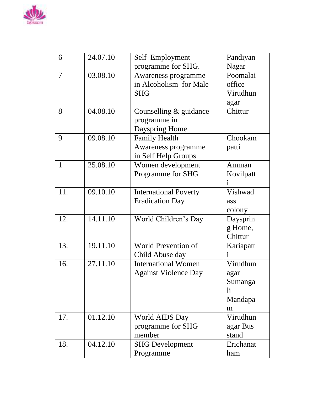

| 6            | 24.07.10 | Self Employment              | Pandiyan  |
|--------------|----------|------------------------------|-----------|
|              |          | programme for SHG.           | Nagar     |
| 7            | 03.08.10 | Awareness programme          | Poomalai  |
|              |          | in Alcoholism for Male       | office    |
|              |          | <b>SHG</b>                   | Virudhun  |
|              |          |                              | agar      |
| 8            | 04.08.10 | Counselling & guidance       | Chittur   |
|              |          | programme in                 |           |
|              |          | Dayspring Home               |           |
| 9            | 09.08.10 | <b>Family Health</b>         | Chookam   |
|              |          | Awareness programme          | patti     |
|              |          | in Self Help Groups          |           |
| $\mathbf{1}$ | 25.08.10 | Women development            | Amman     |
|              |          | Programme for SHG            | Kovilpatt |
|              |          |                              |           |
| 11.          | 09.10.10 | <b>International Poverty</b> | Vishwad   |
|              |          | <b>Eradication Day</b>       | ass       |
|              |          |                              | colony    |
| 12.          | 14.11.10 | World Children's Day         | Daysprin  |
|              |          |                              | g Home,   |
|              |          |                              | Chittur   |
| 13.          | 19.11.10 | World Prevention of          | Kariapatt |
|              |          | Child Abuse day              | 1         |
| 16.          | 27.11.10 | <b>International Women</b>   | Virudhun  |
|              |          | <b>Against Violence Day</b>  | agar      |
|              |          |                              | Sumanga   |
|              |          |                              | li        |
|              |          |                              | Mandapa   |
|              |          |                              | m         |
| 17.          | 01.12.10 | World AIDS Day               | Virudhun  |
|              |          | programme for SHG            | agar Bus  |
|              |          | member                       | stand     |
| 18.          | 04.12.10 | <b>SHG Development</b>       | Erichanat |
|              |          | Programme                    | ham       |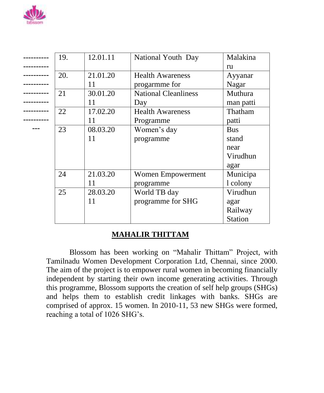

| 19. | 12.01.11 | National Youth Day          | Malakina       |
|-----|----------|-----------------------------|----------------|
|     |          |                             | ru             |
| 20. | 21.01.20 | <b>Health Awareness</b>     | Ayyanar        |
|     | 11       | progarmme for               | Nagar          |
| 21  | 30.01.20 | <b>National Cleanliness</b> | Muthura        |
|     | 11       | Day                         | man patti      |
| 22  | 17.02.20 | <b>Health Awareness</b>     | Thatham        |
|     | 11       | Programme                   | patti          |
| 23  | 08.03.20 | Women's day                 | <b>Bus</b>     |
|     | 11       | programme                   | stand          |
|     |          |                             | near           |
|     |          |                             | Virudhun       |
|     |          |                             | agar           |
| 24  | 21.03.20 | Women Empowerment           | Municipa       |
|     | 11       | programme                   | 1 colony       |
| 25  | 28.03.20 | World TB day                | Virudhun       |
|     | 11       | programme for SHG           | agar           |
|     |          |                             | Railway        |
|     |          |                             | <b>Station</b> |

#### **MAHALIR THITTAM**

Blossom has been working on "Mahalir Thittam" Project, with Tamilnadu Women Development Corporation Ltd, Chennai, since 2000. The aim of the project is to empower rural women in becoming financially independent by starting their own income generating activities. Through this programme, Blossom supports the creation of self help groups (SHGs) and helps them to establish credit linkages with banks. SHGs are comprised of approx. 15 women. In 2010-11, 53 new SHGs were formed, reaching a total of 1026 SHG's.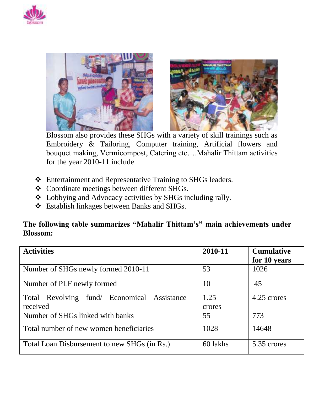





Blossom also provides these SHGs with a variety of skill trainings such as Embroidery & Tailoring, Computer training, Artificial flowers and bouquet making, Vermicompost, Catering etc….Mahalir Thittam activities for the year 2010-11 include

- Entertainment and Representative Training to SHGs leaders.
- Coordinate meetings between different SHGs.
- Lobbying and Advocacy activities by SHGs including rally.
- Establish linkages between Banks and SHGs.

#### **The following table summarizes "Mahalir Thittam's" main achievements under Blossom:**

| <b>Activities</b>                                       | 2010-11        | <b>Cumulative</b><br>for 10 years |
|---------------------------------------------------------|----------------|-----------------------------------|
| Number of SHGs newly formed 2010-11                     | 53             | 1026                              |
| Number of PLF newly formed                              | 10             | 45                                |
| Total Revolving fund/ Economical Assistance<br>received | 1.25<br>crores | 4.25 crores                       |
| Number of SHGs linked with banks                        | 55             | 773                               |
| Total number of new women beneficiaries                 | 1028           | 14648                             |
| Total Loan Disbursement to new SHGs (in Rs.)            | 60 lakhs       | 5.35 crores                       |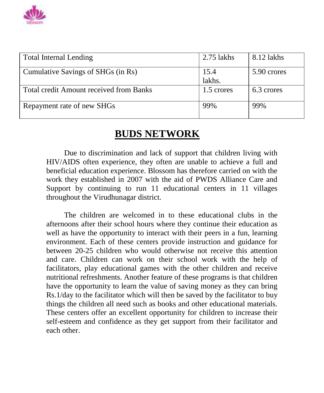

| <b>Total Internal Lending</b>                  | $2.75$ lakhs   | 8.12 lakhs  |
|------------------------------------------------|----------------|-------------|
| Cumulative Savings of SHGs (in Rs)             | 15.4<br>lakhs. | 5.90 crores |
| <b>Total credit Amount received from Banks</b> | 1.5 crores     | 6.3 crores  |
| Repayment rate of new SHGs                     | 99%            | 99%         |

### **BUDS NETWORK**

Due to discrimination and lack of support that children living with HIV/AIDS often experience, they often are unable to achieve a full and beneficial education experience. Blossom has therefore carried on with the work they established in 2007 with the aid of PWDS Alliance Care and Support by continuing to run 11 educational centers in 11 villages throughout the Virudhunagar district.

The children are welcomed in to these educational clubs in the afternoons after their school hours where they continue their education as well as have the opportunity to interact with their peers in a fun, learning environment. Each of these centers provide instruction and guidance for between 20-25 children who would otherwise not receive this attention and care. Children can work on their school work with the help of facilitators, play educational games with the other children and receive nutritional refreshments. Another feature of these programs is that children have the opportunity to learn the value of saving money as they can bring Rs.1/day to the facilitator which will then be saved by the facilitator to buy things the children all need such as books and other educational materials. These centers offer an excellent opportunity for children to increase their self-esteem and confidence as they get support from their facilitator and each other.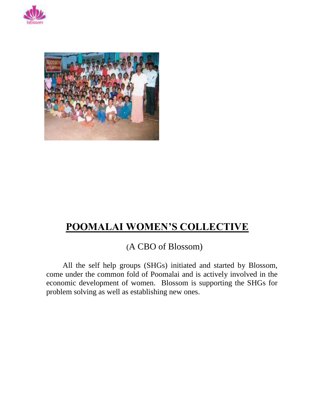



### **POOMALAI WOMEN'S COLLECTIVE**

(A CBO of Blossom)

All the self help groups (SHGs) initiated and started by Blossom, come under the common fold of Poomalai and is actively involved in the economic development of women. Blossom is supporting the SHGs for problem solving as well as establishing new ones.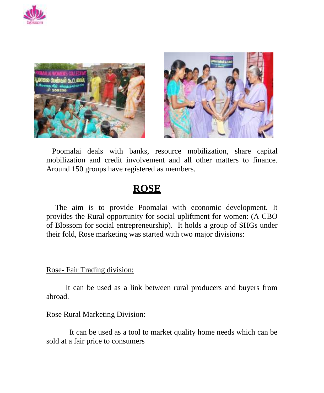





 Poomalai deals with banks, resource mobilization, share capital mobilization and credit involvement and all other matters to finance. Around 150 groups have registered as members.

### **ROSE**

The aim is to provide Poomalai with economic development. It provides the Rural opportunity for social upliftment for women: (A CBO of Blossom for social entrepreneurship). It holds a group of SHGs under their fold, Rose marketing was started with two major divisions:

#### Rose- Fair Trading division:

 It can be used as a link between rural producers and buyers from abroad.

#### Rose Rural Marketing Division:

It can be used as a tool to market quality home needs which can be sold at a fair price to consumers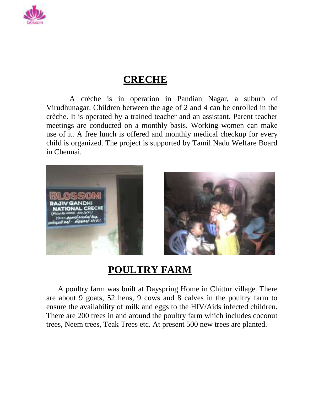

### **CRECHE**

A crèche is in operation in Pandian Nagar, a suburb of Virudhunagar. Children between the age of 2 and 4 can be enrolled in the crèche. It is operated by a trained teacher and an assistant. Parent teacher meetings are conducted on a monthly basis. Working women can make use of it. A free lunch is offered and monthly medical checkup for every child is organized. The project is supported by Tamil Nadu Welfare Board in Chennai.





### **POULTRY FARM**

A poultry farm was built at Dayspring Home in Chittur village. There are about 9 goats, 52 hens, 9 cows and 8 calves in the poultry farm to ensure the availability of milk and eggs to the HIV/Aids infected children. There are 200 trees in and around the poultry farm which includes coconut trees, Neem trees, Teak Trees etc. At present 500 new trees are planted.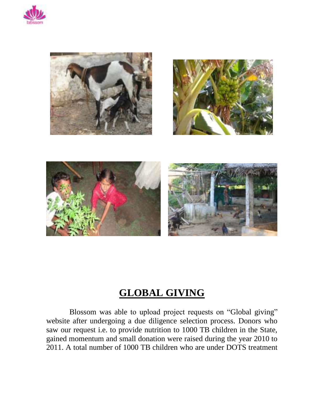



### **GLOBAL GIVING**

 Blossom was able to upload project requests on "Global giving" website after undergoing a due diligence selection process. Donors who saw our request i.e. to provide nutrition to 1000 TB children in the State, gained momentum and small donation were raised during the year 2010 to 2011. A total number of 1000 TB children who are under DOTS treatment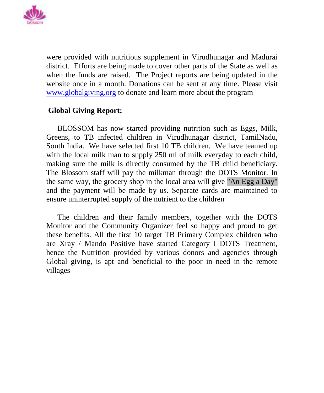

were provided with nutritious supplement in Virudhunagar and Madurai district. Efforts are being made to cover other parts of the State as well as when the funds are raised. The Project reports are being updated in the website once in a month. Donations can be sent at any time. Please visit [www.globalgiving.org](file:///C:/Documents%20and%20Settings/Blossom/Desktop/www.globalgiving.org) to donate and learn more about the program

#### **Global Giving Report:**

BLOSSOM has now started providing nutrition such as Eggs, Milk, Greens, to TB infected children in Virudhunagar district, TamilNadu, South India. We have selected first 10 TB children. We have teamed up with the local milk man to supply 250 ml of milk everyday to each child, making sure the milk is directly consumed by the TB child beneficiary. The Blossom staff will pay the milkman through the DOTS Monitor. In the same way, the grocery shop in the local area will give "An Egg a Day" and the payment will be made by us. Separate cards are maintained to ensure uninterrupted supply of the nutrient to the children

The children and their family members, together with the DOTS Monitor and the Community Organizer feel so happy and proud to get these benefits. All the first 10 target TB Primary Complex children who are Xray / Mando Positive have started Category I DOTS Treatment, hence the Nutrition provided by various donors and agencies through Global giving, is apt and beneficial to the poor in need in the remote villages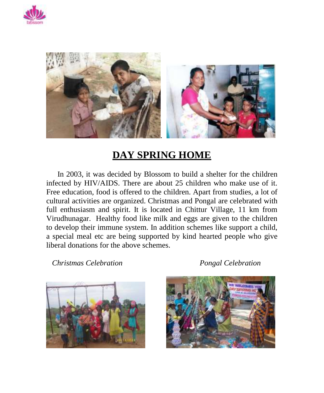



### **DAY SPRING HOME**

In 2003, it was decided by Blossom to build a shelter for the children infected by HIV/AIDS. There are about 25 children who make use of it. Free education, food is offered to the children. Apart from studies, a lot of cultural activities are organized. Christmas and Pongal are celebrated with full enthusiasm and spirit. It is located in Chittur Village, 11 km from Virudhunagar. Healthy food like milk and eggs are given to the children to develop their immune system. In addition schemes like support a child, a special meal etc are being supported by kind hearted people who give liberal donations for the above schemes.

 *Christmas Celebration Pongal Celebration*



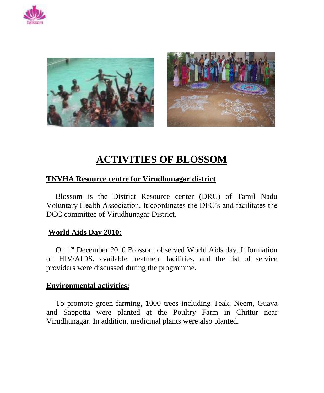



### **ACTIVITIES OF BLOSSOM**

#### **TNVHA Resource centre for Virudhunagar district**

Blossom is the District Resource center (DRC) of Tamil Nadu Voluntary Health Association. It coordinates the DFC's and facilitates the DCC committee of Virudhunagar District.

#### **World Aids Day 2010:**

On 1st December 2010 Blossom observed World Aids day. Information on HIV/AIDS, available treatment facilities, and the list of service providers were discussed during the programme.

#### **Environmental activities:**

To promote green farming, 1000 trees including Teak, Neem, Guava and Sappotta were planted at the Poultry Farm in Chittur near Virudhunagar. In addition, medicinal plants were also planted.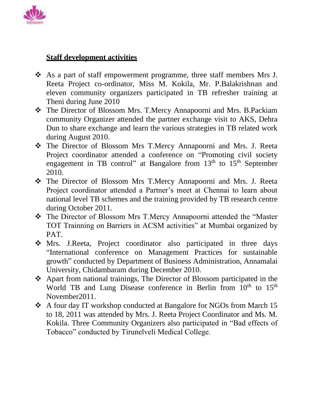

#### **Staff development activities**

- As a part of staff empowerment programme, three staff members Mrs J. Reeta Project co-ordinator, Miss M. Kokila, Mr. P.Balakrishnan and eleven community organizers participated in TB refresher training at Theni during June 2010
- The Director of Blossom Mrs. T.Mercy Annapoorni and Mrs. B.Packiam community Organizer attended the partner exchange visit to AKS, Dehra Dun to share exchange and learn the various strategies in TB related work during August 2010.
- The Director of Blossom Mrs T.Mercy Annapoorni and Mrs. J. Reeta Project coordinator attended a conference on "Promoting civil society engagement in TB control" at Bangalore from 13<sup>th</sup> to 15<sup>th</sup> September 2010.
- The Director of Blossom Mrs T.Mercy Annapoorni and Mrs. J. Reeta Project coordinator attended a Partner's meet at Chennai to learn about national level TB schemes and the training provided by TB research centre during October 2011.
- The Director of Blossom Mrs T.Mercy Annapoorni attended the "Master TOT Trainning on Barriers in ACSM activities" at Mumbai organized by PAT.
- Mrs. J.Reeta, Project coordinator also participated in three days "International conference on Management Practices for sustainable growth" conducted by Department of Business Administration, Annamalai University, Chidambaram during December 2010.
- Apart from national trainings, The Director of Blossom participated in the World TB and Lung Disease conference in Berlin from  $10<sup>th</sup>$  to  $15<sup>th</sup>$ November2011.
- A four day IT workshop conducted at Bangalore for NGOs from March 15 to 18, 2011 was attended by Mrs. J. Reeta Project Coordinator and Ms. M. Kokila. Three Community Organizers also participated in "Bad effects of Tobacco" conducted by Tirunelveli Medical College.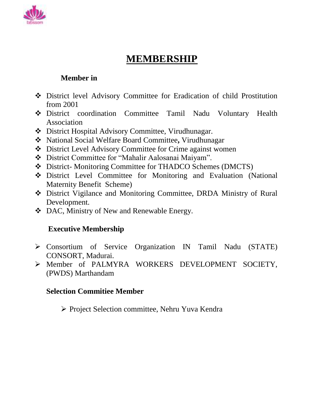

### **MEMBERSHIP**

#### **Member in**

- District level Advisory Committee for Eradication of child Prostitution from 2001
- District coordination Committee Tamil Nadu Voluntary Health Association
- District Hospital Advisory Committee, Virudhunagar.
- National Social Welfare Board Committee**,** Virudhunagar
- District Level Advisory Committee for Crime against women
- District Committee for "Mahalir Aalosanai Maiyam".
- District- Monitoring Committee for THADCO Schemes (DMCTS)
- District Level Committee for Monitoring and Evaluation (National Maternity Benefit Scheme)
- District Vigilance and Monitoring Committee, DRDA Ministry of Rural Development.
- ❖ DAC, Ministry of New and Renewable Energy.

### **Executive Membership**

- Consortium of Service Organization IN Tamil Nadu (STATE) CONSORT, Madurai.
- Member of PALMYRA WORKERS DEVELOPMENT SOCIETY, (PWDS) Marthandam

#### **Selection Commitiee Member**

Project Selection committee, Nehru Yuva Kendra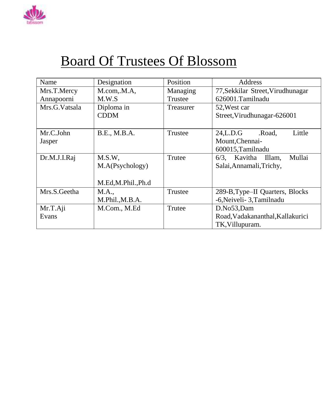

# Board Of Trustees Of Blossom

| Name          | Designation       | Position  | Address                           |
|---------------|-------------------|-----------|-----------------------------------|
| Mrs.T.Mercy   | M.com, M.A.       | Managing  | 77, Sekkilar Street, Virudhunagar |
| Annapoorni    | M.W.S             | Trustee   | 626001.Tamilnadu                  |
| Mrs.G.Vatsala | Diploma in        | Treasurer | 52, West car                      |
|               | <b>CDDM</b>       |           | Street, Virudhunagar-626001       |
|               |                   |           |                                   |
| Mr.C.John     | B.E., M.B.A.      | Trustee   | 24,L.D.G<br>Little<br>.Road,      |
| Jasper        |                   |           | Mount, Chennai-                   |
|               |                   |           | 600015, Tamilnadu                 |
| Dr.M.J.I.Raj  | M.S.W.            | Trutee    | 6/3, Kavitha Illam,<br>Mullai     |
|               | M.A(Psychology)   |           | Salai, Annamali, Trichy,          |
|               |                   |           |                                   |
|               | M.Ed,M.Phil.,Ph.d |           |                                   |
| Mrs.S.Geetha  | M.A.,             | Trustee   | 289-B, Type-II Quarters, Blocks   |
|               | M.Phil., M.B.A.   |           | -6, Neiveli - 3, Tamilnadu        |
| Mr.T.Aji      | M.Com., M.Ed      | Trutee    | D.No53,Dam                        |
| Evans         |                   |           | Road, Vadakananthal, Kallakurici  |
|               |                   |           | TK, Villupuram.                   |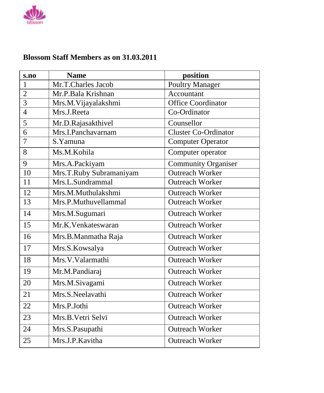

#### **Blossom Staff Members as on 31.03.2011**

| s.no           | <b>Name</b>             | position                    |
|----------------|-------------------------|-----------------------------|
| 1              | Mr.T.Charles Jacob      | <b>Poultry Manager</b>      |
| $\overline{2}$ | Mr.P.Bala Krishnan      | Accountant                  |
| 3              | Mrs.M.Vijayalakshmi     | <b>Office Coordinator</b>   |
| $\overline{4}$ | Mrs.J.Reeta             | Co-Ordinator                |
| 5              | Mr.D.Rajasakthivel      | Counsellor                  |
| 6              | Mrs.I.Panchavarnam      | <b>Cluster Co-Ordinator</b> |
| 7              | S.Yamuna                | <b>Computer Operator</b>    |
| 8              | Ms.M.Kohila             | Computer operator           |
| 9              | Mrs.A.Packiyam          | <b>Community Organiser</b>  |
| 10             | Mrs.T.Ruby Subramaniyam | <b>Outreach Worker</b>      |
| 11             | Mrs.L.Sundrammal        | <b>Outreach Worker</b>      |
| 12             | Mrs.M.Muthulakshmi      | <b>Outreach Worker</b>      |
| 13             | Mrs.P.Muthuvellammal    | <b>Outreach Worker</b>      |
| 14             | Mrs.M.Sugumari          | <b>Outreach Worker</b>      |
| 15             | Mr.K.Venkateswaran      | <b>Outreach Worker</b>      |
| 16             | Mrs.B.Manmatha Raja     | <b>Outreach Worker</b>      |
| 17             | Mrs.S.Kowsalya          | <b>Outreach Worker</b>      |
| 18             | Mrs.V.Valarmathi        | <b>Outreach Worker</b>      |
| 19             | Mr.M.Pandiaraj          | <b>Outreach Worker</b>      |
| 20             | Mrs.M.Sivagami          | <b>Outreach Worker</b>      |
| 21             | Mrs.S.Neelavathi        | <b>Outreach Worker</b>      |
| 22             | Mrs.P.Jothi             | <b>Outreach Worker</b>      |
| 23             | Mrs.B.Vetri Selvi       | <b>Outreach Worker</b>      |
| 24             | Mrs.S.Pasupathi         | <b>Outreach Worker</b>      |
| 25             | Mrs.J.P.Kavitha         | <b>Outreach Worker</b>      |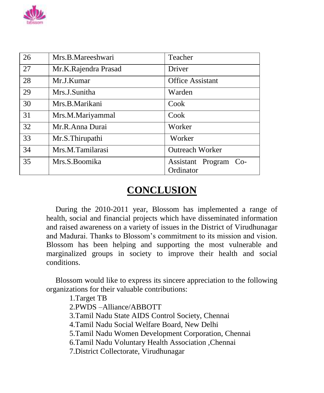

| 26 | Mrs.B.Mareeshwari    | Teacher                 |
|----|----------------------|-------------------------|
| 27 | Mr.K.Rajendra Prasad | Driver                  |
| 28 | Mr.J.Kumar           | <b>Office Assistant</b> |
| 29 | Mrs.J.Sunitha        | Warden                  |
| 30 | Mrs.B.Marikani       | Cook                    |
| 31 | Mrs.M.Mariyammal     | Cook                    |
| 32 | Mr.R.Anna Durai      | Worker                  |
| 33 | Mr.S.Thirupathi      | Worker                  |
| 34 | Mrs.M.Tamilarasi     | <b>Outreach Worker</b>  |
| 35 | Mrs.S.Boomika        | Assistant Program Co-   |
|    |                      | Ordinator               |

### **CONCLUSION**

During the 2010-2011 year, Blossom has implemented a range of health, social and financial projects which have disseminated information and raised awareness on a variety of issues in the District of Virudhunagar and Madurai. Thanks to Blossom's commitment to its mission and vision. Blossom has been helping and supporting the most vulnerable and marginalized groups in society to improve their health and social conditions.

Blossom would like to express its sincere appreciation to the following organizations for their valuable contributions:

1.Target TB 2.PWDS –Alliance/ABBOTT 3.Tamil Nadu State AIDS Control Society, Chennai 4.Tamil Nadu Social Welfare Board, New Delhi 5.Tamil Nadu Women Development Corporation, Chennai 6.Tamil Nadu Voluntary Health Association ,Chennai 7.District Collectorate, Virudhunagar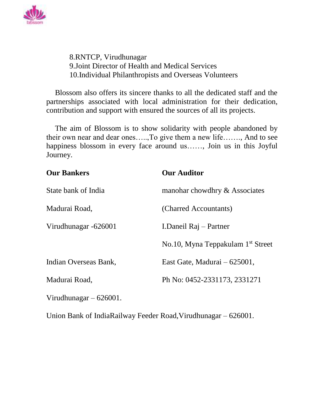

8.RNTCP, Virudhunagar 9.Joint Director of Health and Medical Services 10.Individual Philanthropists and Overseas Volunteers

Blossom also offers its sincere thanks to all the dedicated staff and the partnerships associated with local administration for their dedication, contribution and support with ensured the sources of all its projects.

The aim of Blossom is to show solidarity with people abandoned by their own near and dear ones…..,To give them a new life……., And to see happiness blossom in every face around us……, Join us in this Joyful Journey.

| <b>Our Bankers</b>       | <b>Our Auditor</b>                            |  |
|--------------------------|-----------------------------------------------|--|
| State bank of India      | manohar chowdhry & Associates                 |  |
| Madurai Road,            | (Charred Accountants)                         |  |
| Virudhunagar -626001     | I.Daneil Raj - Partner                        |  |
|                          | No.10, Myna Teppakulam 1 <sup>st</sup> Street |  |
| Indian Overseas Bank,    | East Gate, Madurai – 625001,                  |  |
| Madurai Road,            | Ph No: 0452-2331173, 2331271                  |  |
| Virudhunagar $-626001$ . |                                               |  |
|                          |                                               |  |

Union Bank of IndiaRailway Feeder Road,Virudhunagar – 626001.